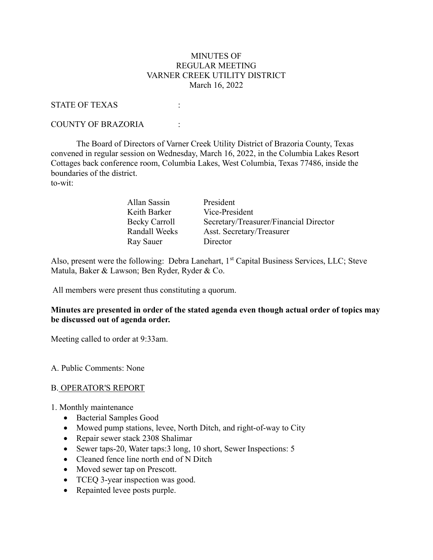#### MINUTES OF REGULAR MEETING VARNER CREEK UTILITY DISTRICT March 16, 2022

#### STATE OF TEXAS :

#### COUNTY OF BRAZORIA :

 The Board of Directors of Varner Creek Utility District of Brazoria County, Texas convened in regular session on Wednesday, March 16, 2022, in the Columbia Lakes Resort Cottages back conference room, Columbia Lakes, West Columbia, Texas 77486, inside the boundaries of the district. to-wit:

| Allan Sassin  | President                              |
|---------------|----------------------------------------|
| Keith Barker  | Vice-President                         |
| Becky Carroll | Secretary/Treasurer/Financial Director |
| Randall Weeks | Asst. Secretary/Treasurer              |
| Ray Sauer     | Director                               |

Also, present were the following: Debra Lanehart, 1<sup>st</sup> Capital Business Services, LLC; Steve Matula, Baker & Lawson; Ben Ryder, Ryder & Co.

All members were present thus constituting a quorum.

## Minutes are presented in order of the stated agenda even though actual order of topics may be discussed out of agenda order.

Meeting called to order at 9:33am.

#### A. Public Comments: None

#### B. OPERATOR'S REPORT

- 1. Monthly maintenance
	- Bacterial Samples Good
	- Mowed pump stations, levee, North Ditch, and right-of-way to City
	- Repair sewer stack 2308 Shalimar
	- Sewer taps-20, Water taps: 3 long, 10 short, Sewer Inspections: 5
	- Cleaned fence line north end of N Ditch
	- Moved sewer tap on Prescott.
	- TCEQ 3-year inspection was good.
	- Repainted levee posts purple.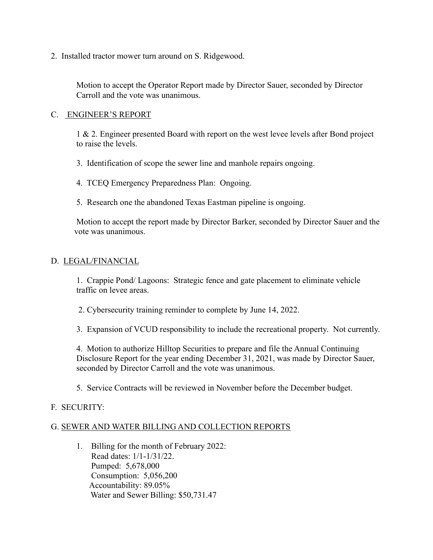2. Installed tractor mower turn around on S. Ridgewood.

Motion to accept the Operator Report made by Director Sauer, seconded by Director Carroll and the vote was unanimous.

## C. ENGINEER'S REPORT

1 & 2. Engineer presented Board with report on the west levee levels after Bond project to raise the levels.

3. Identification of scope the sewer line and manhole repairs ongoing.

4. TCEQ Emergency Preparedness Plan: Ongoing.

5. Research one the abandoned Texas Eastman pipeline is ongoing.

Motion to accept the report made by Director Barker, seconded by Director Sauer and the vote was unanimous.

## D. LEGAL/FINANCIAL

1. Crappie Pond/ Lagoons: Strategic fence and gate placement to eliminate vehicle traffic on levee areas.

2. Cybersecurity training reminder to complete by June 14, 2022.

3. Expansion of VCUD responsibility to include the recreational property. Not currently.

4. Motion to authorize Hilltop Securities to prepare and file the Annual Continuing Disclosure Report for the year ending December 31, 2021, was made by Director Sauer, seconded by Director Carroll and the vote was unanimous.

5. Service Contracts will be reviewed in November before the December budget.

# F. SECURITY:

# G. SEWER AND WATER BILLING AND COLLECTION REPORTS

1. Billing for the month of February 2022: Read dates: 1/1-1/31/22. Pumped: 5,678,000 Consumption: 5,056,200 Accountability: 89.05% Water and Sewer Billing: \$50,731.47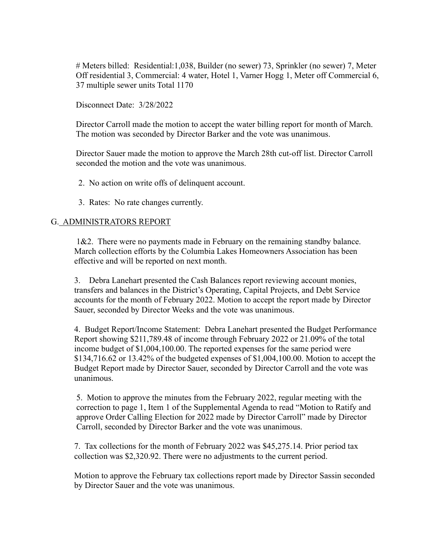# Meters billed: Residential:1,038, Builder (no sewer) 73, Sprinkler (no sewer) 7, Meter Off residential 3, Commercial: 4 water, Hotel 1, Varner Hogg 1, Meter off Commercial 6, 37 multiple sewer units Total 1170

Disconnect Date: 3/28/2022

Director Carroll made the motion to accept the water billing report for month of March. The motion was seconded by Director Barker and the vote was unanimous.

Director Sauer made the motion to approve the March 28th cut-off list. Director Carroll seconded the motion and the vote was unanimous.

2. No action on write offs of delinquent account.

3. Rates: No rate changes currently.

## G. ADMINISTRATORS REPORT

1&2. There were no payments made in February on the remaining standby balance. March collection efforts by the Columbia Lakes Homeowners Association has been effective and will be reported on next month.

3. Debra Lanehart presented the Cash Balances report reviewing account monies, transfers and balances in the District's Operating, Capital Projects, and Debt Service accounts for the month of February 2022. Motion to accept the report made by Director Sauer, seconded by Director Weeks and the vote was unanimous.

4. Budget Report/Income Statement: Debra Lanehart presented the Budget Performance Report showing \$211,789.48 of income through February 2022 or 21.09% of the total income budget of \$1,004,100.00. The reported expenses for the same period were \$134,716.62 or 13.42% of the budgeted expenses of \$1,004,100.00. Motion to accept the Budget Report made by Director Sauer, seconded by Director Carroll and the vote was unanimous.

5. Motion to approve the minutes from the February 2022, regular meeting with the correction to page 1, Item 1 of the Supplemental Agenda to read "Motion to Ratify and approve Order Calling Election for 2022 made by Director Carroll" made by Director Carroll, seconded by Director Barker and the vote was unanimous.

7. Tax collections for the month of February 2022 was \$45,275.14. Prior period tax collection was \$2,320.92. There were no adjustments to the current period.

Motion to approve the February tax collections report made by Director Sassin seconded by Director Sauer and the vote was unanimous.